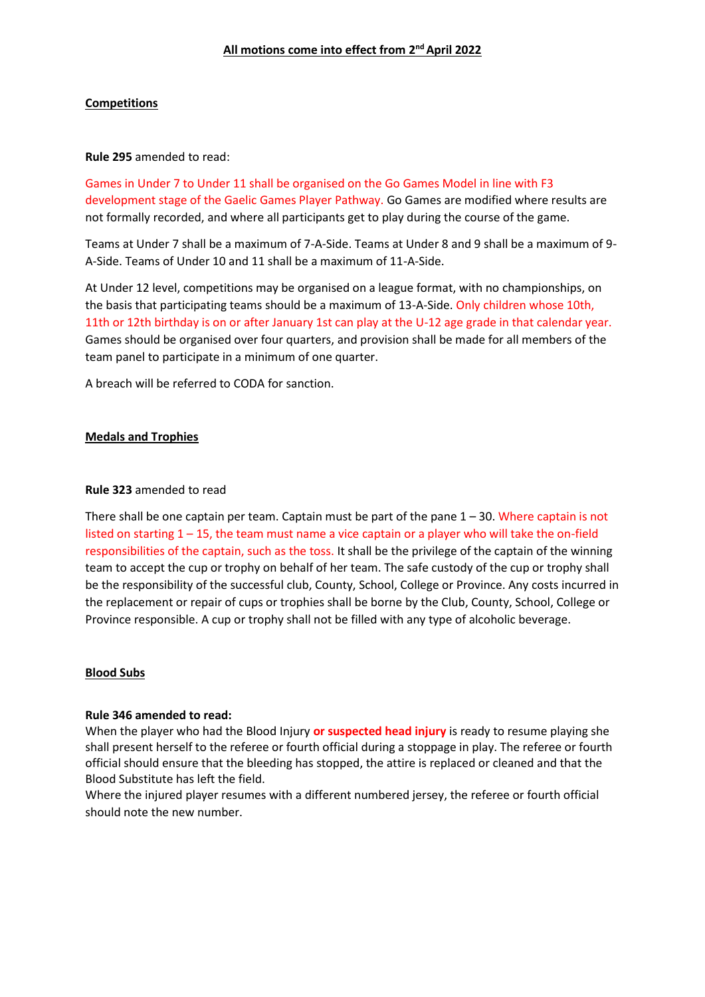# **All motions come into effect from 2 nd April 2022**

# **Competitions**

### **Rule 295** amended to read:

Games in Under 7 to Under 11 shall be organised on the Go Games Model in line with F3 development stage of the Gaelic Games Player Pathway. Go Games are modified where results are not formally recorded, and where all participants get to play during the course of the game.

Teams at Under 7 shall be a maximum of 7-A-Side. Teams at Under 8 and 9 shall be a maximum of 9- A-Side. Teams of Under 10 and 11 shall be a maximum of 11-A-Side.

At Under 12 level, competitions may be organised on a league format, with no championships, on the basis that participating teams should be a maximum of 13-A-Side. Only children whose 10th, 11th or 12th birthday is on or after January 1st can play at the U-12 age grade in that calendar year. Games should be organised over four quarters, and provision shall be made for all members of the team panel to participate in a minimum of one quarter.

A breach will be referred to CODA for sanction.

#### **Medals and Trophies**

#### **Rule 323** amended to read

There shall be one captain per team. Captain must be part of the pane  $1 - 30$ . Where captain is not listed on starting  $1 - 15$ , the team must name a vice captain or a player who will take the on-field responsibilities of the captain, such as the toss. It shall be the privilege of the captain of the winning team to accept the cup or trophy on behalf of her team. The safe custody of the cup or trophy shall be the responsibility of the successful club, County, School, College or Province. Any costs incurred in the replacement or repair of cups or trophies shall be borne by the Club, County, School, College or Province responsible. A cup or trophy shall not be filled with any type of alcoholic beverage.

# **Blood Subs**

#### **Rule 346 amended to read:**

When the player who had the Blood Injury **or suspected head injury** is ready to resume playing she shall present herself to the referee or fourth official during a stoppage in play. The referee or fourth official should ensure that the bleeding has stopped, the attire is replaced or cleaned and that the Blood Substitute has left the field.

Where the injured player resumes with a different numbered jersey, the referee or fourth official should note the new number.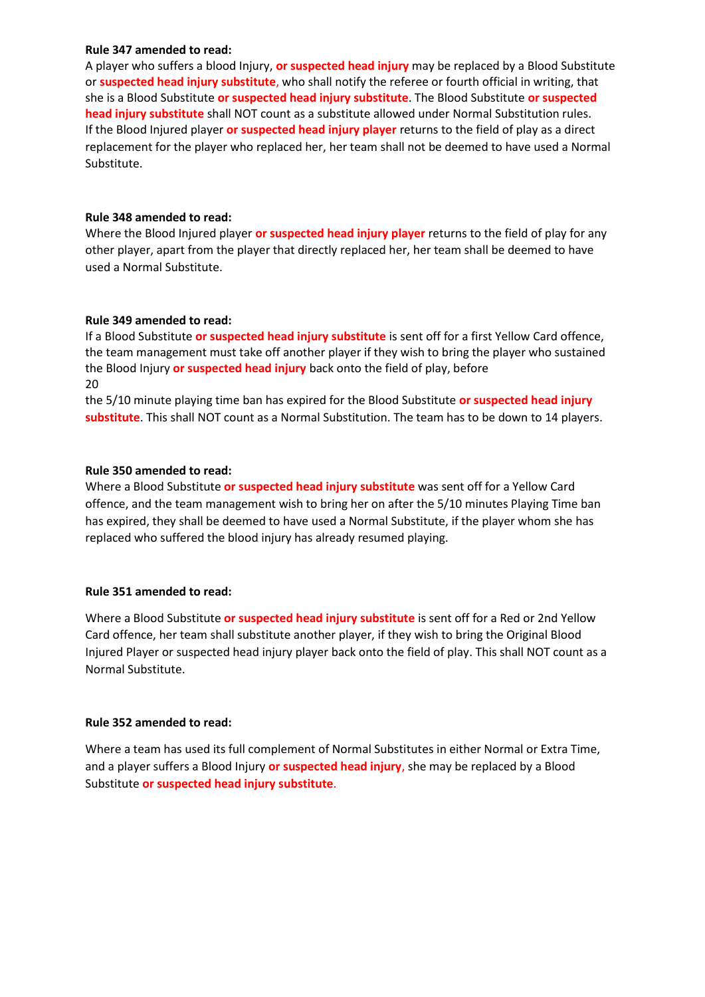## **Rule 347 amended to read:**

A player who suffers a blood Injury, **or suspected head injury** may be replaced by a Blood Substitute or **suspected head injury substitute**, who shall notify the referee or fourth official in writing, that she is a Blood Substitute **or suspected head injury substitute**. The Blood Substitute **or suspected head injury substitute** shall NOT count as a substitute allowed under Normal Substitution rules. If the Blood Injured player **or suspected head injury player** returns to the field of play as a direct replacement for the player who replaced her, her team shall not be deemed to have used a Normal Substitute.

# **Rule 348 amended to read:**

Where the Blood Injured player **or suspected head injury player** returns to the field of play for any other player, apart from the player that directly replaced her, her team shall be deemed to have used a Normal Substitute.

# **Rule 349 amended to read:**

If a Blood Substitute **or suspected head injury substitute** is sent off for a first Yellow Card offence, the team management must take off another player if they wish to bring the player who sustained the Blood Injury **or suspected head injury** back onto the field of play, before 20

the 5/10 minute playing time ban has expired for the Blood Substitute **or suspected head injury substitute**. This shall NOT count as a Normal Substitution. The team has to be down to 14 players.

# **Rule 350 amended to read:**

Where a Blood Substitute **or suspected head injury substitute** was sent off for a Yellow Card offence, and the team management wish to bring her on after the 5/10 minutes Playing Time ban has expired, they shall be deemed to have used a Normal Substitute, if the player whom she has replaced who suffered the blood injury has already resumed playing.

# **Rule 351 amended to read:**

Where a Blood Substitute **or suspected head injury substitute** is sent off for a Red or 2nd Yellow Card offence, her team shall substitute another player, if they wish to bring the Original Blood Injured Player or suspected head injury player back onto the field of play. This shall NOT count as a Normal Substitute.

# **Rule 352 amended to read:**

Where a team has used its full complement of Normal Substitutes in either Normal or Extra Time, and a player suffers a Blood Injury **or suspected head injury**, she may be replaced by a Blood Substitute **or suspected head injury substitute**.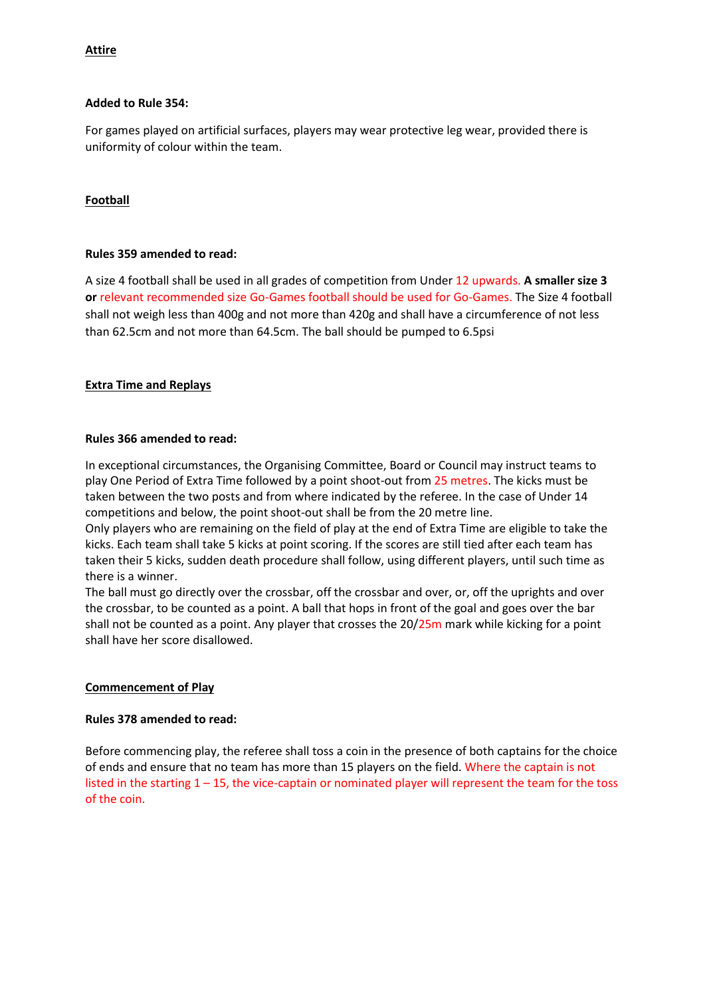# **Attire**

# **Added to Rule 354:**

For games played on artificial surfaces, players may wear protective leg wear, provided there is uniformity of colour within the team.

# **Football**

# **Rules 359 amended to read:**

A size 4 football shall be used in all grades of competition from Under 12 upwards. **A smaller size 3 or** relevant recommended size Go-Games football should be used for Go-Games. The Size 4 football shall not weigh less than 400g and not more than 420g and shall have a circumference of not less than 62.5cm and not more than 64.5cm. The ball should be pumped to 6.5psi

# **Extra Time and Replays**

# **Rules 366 amended to read:**

In exceptional circumstances, the Organising Committee, Board or Council may instruct teams to play One Period of Extra Time followed by a point shoot-out from 25 metres. The kicks must be taken between the two posts and from where indicated by the referee. In the case of Under 14 competitions and below, the point shoot-out shall be from the 20 metre line.

Only players who are remaining on the field of play at the end of Extra Time are eligible to take the kicks. Each team shall take 5 kicks at point scoring. If the scores are still tied after each team has taken their 5 kicks, sudden death procedure shall follow, using different players, until such time as there is a winner.

The ball must go directly over the crossbar, off the crossbar and over, or, off the uprights and over the crossbar, to be counted as a point. A ball that hops in front of the goal and goes over the bar shall not be counted as a point. Any player that crosses the  $20/25m$  mark while kicking for a point shall have her score disallowed.

# **Commencement of Play**

# **Rules 378 amended to read:**

Before commencing play, the referee shall toss a coin in the presence of both captains for the choice of ends and ensure that no team has more than 15 players on the field. Where the captain is not listed in the starting 1 – 15, the vice-captain or nominated player will represent the team for the toss of the coin.